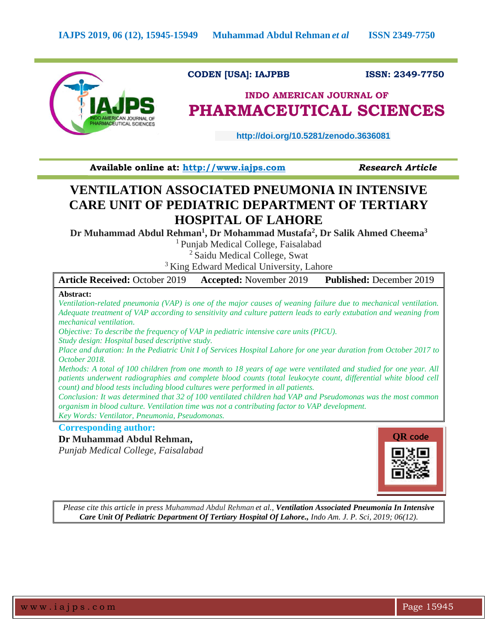

### **CODEN [USA]: IAJPBB ISSN: 2349-7750**

## **INDO AMERICAN JOURNAL OF PHARMACEUTICAL SCIENCES**

 **http://doi.org/10.5281/zenodo.3636081** 

**Available online at: [http://www.iajps.com](http://www.iajps.com/)** *Research Article*

## **VENTILATION ASSOCIATED PNEUMONIA IN INTENSIVE CARE UNIT OF PEDIATRIC DEPARTMENT OF TERTIARY HOSPITAL OF LAHORE**

**Dr Muhammad Abdul Rehman<sup>1</sup> , Dr Mohammad Mustafa<sup>2</sup> , Dr Salik Ahmed Cheema<sup>3</sup>**

<sup>1</sup> Punjab Medical College, Faisalabad

<sup>2</sup> Saidu Medical College, Swat

<sup>3</sup> King Edward Medical University, Lahore

| <b>Article Received: October 2019</b>                                                                              | <b>Accepted:</b> November 2019 | <b>Published: December 2019</b> |
|--------------------------------------------------------------------------------------------------------------------|--------------------------------|---------------------------------|
| Abstract:                                                                                                          |                                |                                 |
| Ventilation-related pneumonia (VAP) is one of the major causes of weaning failure due to mechanical ventilation.   |                                |                                 |
| Adequate treatment of VAP according to sensitivity and culture pattern leads to early extubation and weaning from  |                                |                                 |
| mechanical ventilation.                                                                                            |                                |                                 |
| Objective: To describe the frequency of VAP in pediatric intensive care units (PICU).                              |                                |                                 |
| Study design: Hospital based descriptive study.                                                                    |                                |                                 |
| Place and duration: In the Pediatric Unit I of Services Hospital Lahore for one year duration from October 2017 to |                                |                                 |
| October 2018.                                                                                                      |                                |                                 |
| Methods: A total of 100 children from one month to 18 years of age were ventilated and studied for one year. All   |                                |                                 |
| patients underwent radiographies and complete blood counts (total leukocyte count, differential white blood cell   |                                |                                 |
| count) and blood tests including blood cultures were performed in all patients.                                    |                                |                                 |
| Conclusion: It was determined that 32 of 100 ventilated children had VAP and Pseudomonas was the most common       |                                |                                 |
| organism in blood culture. Ventilation time was not a contributing factor to VAP development.                      |                                |                                 |
| Key Words: Ventilator, Pneumonia, Pseudomonas.                                                                     |                                |                                 |
| <b>Corresponding author:</b>                                                                                       |                                |                                 |

### **Dr Muhammad Abdul Rehman,**

*Punjab Medical College, Faisalabad*



*Please cite this article in press Muhammad Abdul Rehman et al., Ventilation Associated Pneumonia In Intensive Care Unit Of Pediatric Department Of Tertiary Hospital Of Lahore., Indo Am. J. P. Sci, 2019; 06(12).*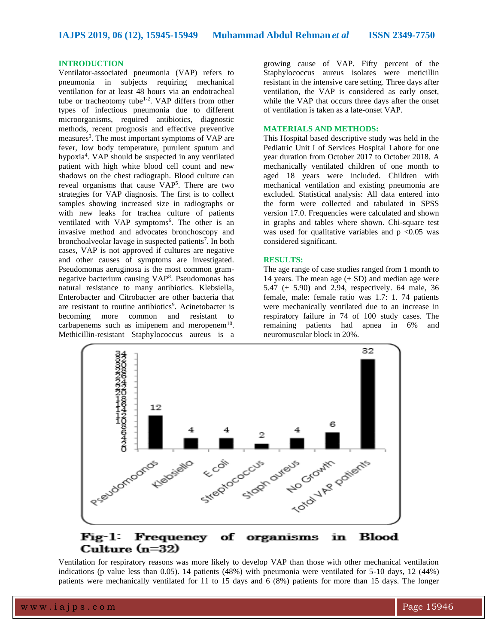**IAJPS 2019, 06 (12), 15945-15949 Muhammad Abdul Rehman** *et al* **ISSN 2349-7750**

#### **INTRODUCTION**

Ventilator-associated pneumonia (VAP) refers to pneumonia in subjects requiring mechanical ventilation for at least 48 hours via an endotracheal tube or tracheotomy tube<sup>1-2</sup>. VAP differs from other types of infectious pneumonia due to different microorganisms, required antibiotics, diagnostic methods, recent prognosis and effective preventive measures<sup>3</sup>. The most important symptoms of VAP are fever, low body temperature, purulent sputum and hypoxia<sup>4</sup>. VAP should be suspected in any ventilated patient with high white blood cell count and new shadows on the chest radiograph. Blood culture can reveal organisms that cause VAP<sup>5</sup>. There are two strategies for VAP diagnosis. The first is to collect samples showing increased size in radiographs or with new leaks for trachea culture of patients ventilated with VAP symptoms<sup>6</sup>. The other is an invasive method and advocates bronchoscopy and bronchoalveolar lavage in suspected patients<sup>7</sup>. In both cases, VAP is not approved if cultures are negative and other causes of symptoms are investigated. Pseudomonas aeruginosa is the most common gramnegative bacterium causing VAP<sup>8</sup> . Pseudomonas has natural resistance to many antibiotics. Klebsiella, Enterobacter and Citrobacter are other bacteria that are resistant to routine antibiotics<sup>9</sup>. Acinetobacter is becoming more common and resistant to carbapenems such as imipenem and meropenem $10$ . Methicillin-resistant Staphylococcus aureus is a

growing cause of VAP. Fifty percent of the Staphylococcus aureus isolates were meticillin resistant in the intensive care setting. Three days after ventilation, the VAP is considered as early onset, while the VAP that occurs three days after the onset of ventilation is taken as a late-onset VAP.

#### **MATERIALS AND METHODS:**

This Hospital based descriptive study was held in the Pediatric Unit I of Services Hospital Lahore for one year duration from October 2017 to October 2018. A mechanically ventilated children of one month to aged 18 years were included. Children with mechanical ventilation and existing pneumonia are excluded. Statistical analysis: All data entered into the form were collected and tabulated in SPSS version 17.0. Frequencies were calculated and shown in graphs and tables where shown. Chi-square test was used for qualitative variables and  $p < 0.05$  was considered significant.

#### **RESULTS:**

The age range of case studies ranged from 1 month to 14 years. The mean age  $(\pm SD)$  and median age were 5.47 ( $\pm$  5.90) and 2.94, respectively. 64 male, 36 female, male: female ratio was 1.7: 1. 74 patients were mechanically ventilated due to an increase in respiratory failure in 74 of 100 study cases. The remaining patients had apnea in 6% and neuromuscular block in 20%.



Ventilation for respiratory reasons was more likely to develop VAP than those with other mechanical ventilation indications (p value less than 0.05). 14 patients (48%) with pneumonia were ventilated for 5-10 days, 12 (44%) patients were mechanically ventilated for 11 to 15 days and 6 (8%) patients for more than 15 days. The longer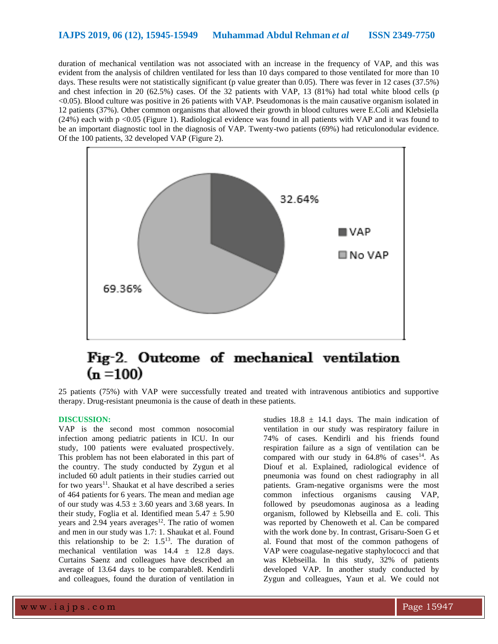duration of mechanical ventilation was not associated with an increase in the frequency of VAP, and this was evident from the analysis of children ventilated for less than 10 days compared to those ventilated for more than 10 days. These results were not statistically significant (p value greater than 0.05). There was fever in 12 cases (37.5%) and chest infection in 20 (62.5%) cases. Of the 32 patients with VAP, 13 (81%) had total white blood cells (p <0.05). Blood culture was positive in 26 patients with VAP. Pseudomonas is the main causative organism isolated in 12 patients (37%). Other common organisms that allowed their growth in blood cultures were E.Coli and Klebsiella (24%) each with p <0.05 (Figure 1). Radiological evidence was found in all patients with VAP and it was found to be an important diagnostic tool in the diagnosis of VAP. Twenty-two patients (69%) had reticulonodular evidence. Of the 100 patients, 32 developed VAP (Figure 2).



# Fig-2. Outcome of mechanical ventilation  $(n = 100)$

25 patients (75%) with VAP were successfully treated and treated with intravenous antibiotics and supportive therapy. Drug-resistant pneumonia is the cause of death in these patients.

#### **DISCUSSION:**

VAP is the second most common nosocomial infection among pediatric patients in ICU. In our study, 100 patients were evaluated prospectively. This problem has not been elaborated in this part of the country. The study conducted by Zygun et al included 60 adult patients in their studies carried out for two years<sup>11</sup>. Shaukat et al have described a series of 464 patients for 6 years. The mean and median age of our study was  $4.53 \pm 3.60$  years and 3.68 years. In their study, Foglia et al. Identified mean  $5.47 \pm 5.90$ years and  $2.94$  years averages<sup>12</sup>. The ratio of women and men in our study was 1.7: 1. Shaukat et al. Found this relationship to be 2:  $1.5<sup>13</sup>$ . The duration of mechanical ventilation was  $14.4 \pm 12.8$  days. Curtains Saenz and colleagues have described an average of 13.64 days to be comparable8. Kendirli and colleagues, found the duration of ventilation in

studies  $18.8 \pm 14.1$  days. The main indication of ventilation in our study was respiratory failure in 74% of cases. Kendirli and his friends found respiration failure as a sign of ventilation can be compared with our study in  $64.8\%$  of cases<sup>14</sup>. As Diouf et al. Explained, radiological evidence of pneumonia was found on chest radiography in all patients. Gram-negative organisms were the most common infectious organisms causing VAP, followed by pseudomonas auginosa as a leading organism, followed by Klebseilla and E. coli. This was reported by Chenoweth et al. Can be compared with the work done by. In contrast, Grisaru-Soen G et al. Found that most of the common pathogens of VAP were coagulase-negative staphylococci and that was Klebseilla. In this study, 32% of patients developed VAP. In another study conducted by Zygun and colleagues, Yaun et al. We could not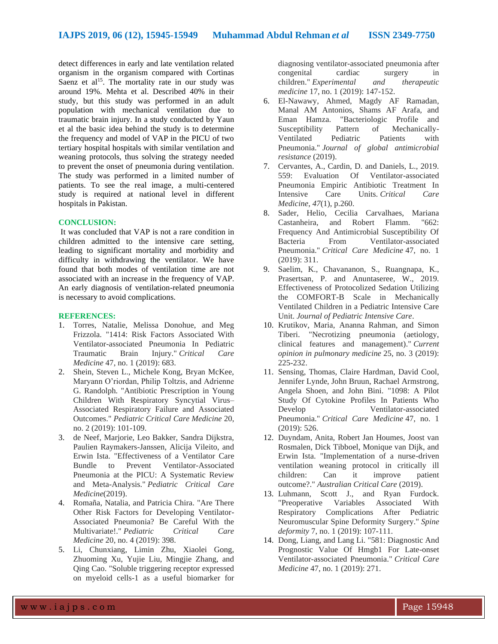detect differences in early and late ventilation related organism in the organism compared with Cortinas Saenz et al<sup>15</sup>. The mortality rate in our study was around 19%. Mehta et al. Described 40% in their study, but this study was performed in an adult population with mechanical ventilation due to traumatic brain injury. In a study conducted by Yaun et al the basic idea behind the study is to determine the frequency and model of VAP in the PICU of two tertiary hospital hospitals with similar ventilation and weaning protocols, thus solving the strategy needed to prevent the onset of pneumonia during ventilation. The study was performed in a limited number of patients. To see the real image, a multi-centered study is required at national level in different hospitals in Pakistan.

#### **CONCLUSION:**

It was concluded that VAP is not a rare condition in children admitted to the intensive care setting, leading to significant mortality and morbidity and difficulty in withdrawing the ventilator. We have found that both modes of ventilation time are not associated with an increase in the frequency of VAP. An early diagnosis of ventilation-related pneumonia is necessary to avoid complications.

#### **REFERENCES:**

- 1. Torres, Natalie, Melissa Donohue, and Meg Frizzola. "1414: Risk Factors Associated With Ventilator-associated Pneumonia In Pediatric Traumatic Brain Injury." *Critical Care Medicine* 47, no. 1 (2019): 683.
- 2. Shein, Steven L., Michele Kong, Bryan McKee, Maryann O'riordan, Philip Toltzis, and Adrienne G. Randolph. "Antibiotic Prescription in Young Children With Respiratory Syncytial Virus– Associated Respiratory Failure and Associated Outcomes." *Pediatric Critical Care Medicine* 20, no. 2 (2019): 101-109.
- 3. de Neef, Marjorie, Leo Bakker, Sandra Dijkstra, Paulien Raymakers-Janssen, Alicija Vileito, and Erwin Ista. "Effectiveness of a Ventilator Care Bundle to Prevent Ventilator-Associated Pneumonia at the PICU: A Systematic Review and Meta-Analysis." *Pediatric Critical Care Medicine*(2019).
- 4. Romaña, Natalia, and Patricia Chira. "Are There Other Risk Factors for Developing Ventilator-Associated Pneumonia? Be Careful With the Multivariate!." *Pediatric Critical Care Medicine* 20, no. 4 (2019): 398.
- 5. Li, Chunxiang, Limin Zhu, Xiaolei Gong, Zhuoming Xu, Yujie Liu, Mingjie Zhang, and Qing Cao. "Soluble triggering receptor expressed on myeloid cells-1 as a useful biomarker for

diagnosing ventilator-associated pneumonia after congenital cardiac surgery in children." *Experimental and therapeutic medicine* 17, no. 1 (2019): 147-152.

- 6. El-Nawawy, Ahmed, Magdy AF Ramadan, Manal AM Antonios, Shams AF Arafa, and Eman Hamza. "Bacteriologic Profile and Susceptibility Pattern of Mechanically-Ventilated Pediatric Patients with Pneumonia." *Journal of global antimicrobial resistance* (2019).
- 7. Cervantes, A., Cardin, D. and Daniels, L., 2019. 559: Evaluation Of Ventilator-associated Pneumonia Empiric Antibiotic Treatment In Intensive Care Units. *Critical Care Medicine*, *47*(1), p.260.
- 8. Sader, Helio, Cecilia Carvalhaes, Mariana Castanheira, and Robert Flamm. "662: Frequency And Antimicrobial Susceptibility Of Bacteria From Ventilator-associated Pneumonia." *Critical Care Medicine* 47, no. 1 (2019): 311.
- 9. Saelim, K., Chavananon, S., Ruangnapa, K., Prasertsan, P. and Anuntaseree, W., 2019. Effectiveness of Protocolized Sedation Utilizing the COMFORT-B Scale in Mechanically Ventilated Children in a Pediatric Intensive Care Unit. *Journal of Pediatric Intensive Care*.
- 10. Krutikov, Maria, Ananna Rahman, and Simon Tiberi. "Necrotizing pneumonia (aetiology, clinical features and management)." *Current opinion in pulmonary medicine* 25, no. 3 (2019): 225-232.
- 11. Sensing, Thomas, Claire Hardman, David Cool, Jennifer Lynde, John Bruun, Rachael Armstrong, Angela Shoen, and John Bini. "1098: A Pilot Study Of Cytokine Profiles In Patients Who Develop Ventilator-associated Pneumonia." *Critical Care Medicine* 47, no. 1 (2019): 526.
- 12. Duyndam, Anita, Robert Jan Houmes, Joost van Rosmalen, Dick Tibboel, Monique van Dijk, and Erwin Ista. "Implementation of a nurse-driven ventilation weaning protocol in critically ill children: Can it improve patient outcome?." *Australian Critical Care* (2019).
- 13. Luhmann, Scott J., and Ryan Furdock. "Preoperative Variables Associated With Respiratory Complications After Pediatric Neuromuscular Spine Deformity Surgery." *Spine deformity* 7, no. 1 (2019): 107-111.
- 14. Dong, Liang, and Lang Li. "581: Diagnostic And Prognostic Value Of Hmgb1 For Late-onset Ventilator-associated Pneumonia." *Critical Care Medicine* 47, no. 1 (2019): 271.